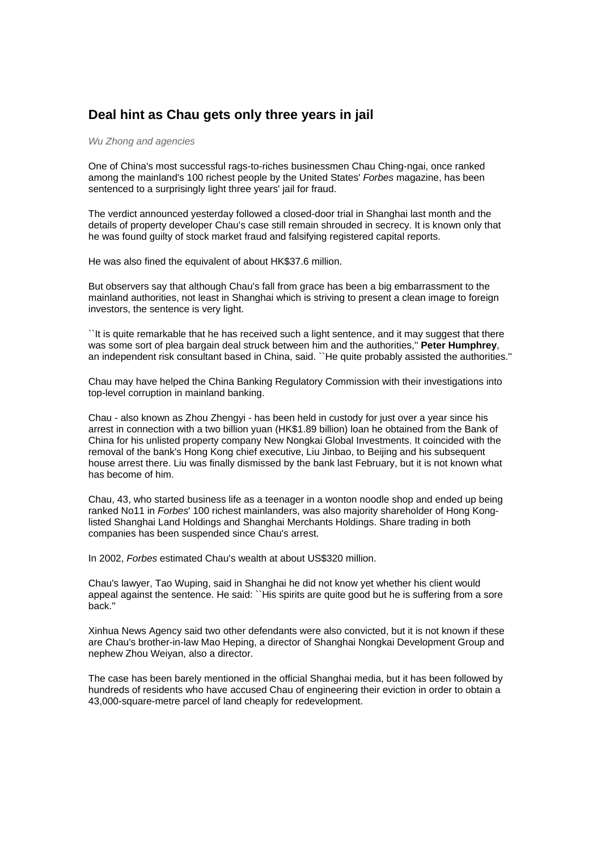## **Deal hint as Chau gets only three years in jail**

## *Wu Zhong and agencies*

One of China's most successful rags-to-riches businessmen Chau Ching-ngai, once ranked among the mainland's 100 richest people by the United States' *Forbes* magazine, has been sentenced to a surprisingly light three years' jail for fraud.

The verdict announced yesterday followed a closed-door trial in Shanghai last month and the details of property developer Chau's case still remain shrouded in secrecy. It is known only that he was found guilty of stock market fraud and falsifying registered capital reports.

He was also fined the equivalent of about HK\$37.6 million.

But observers say that although Chau's fall from grace has been a big embarrassment to the mainland authorities, not least in Shanghai which is striving to present a clean image to foreign investors, the sentence is very light.

``It is quite remarkable that he has received such a light sentence, and it may suggest that there was some sort of plea bargain deal struck between him and the authorities,'' **Peter Humphrey**, an independent risk consultant based in China, said. ``He quite probably assisted the authorities.''

Chau may have helped the China Banking Regulatory Commission with their investigations into top-level corruption in mainland banking.

Chau - also known as Zhou Zhengyi - has been held in custody for just over a year since his arrest in connection with a two billion yuan (HK\$1.89 billion) loan he obtained from the Bank of China for his unlisted property company New Nongkai Global Investments. It coincided with the removal of the bank's Hong Kong chief executive, Liu Jinbao, to Beijing and his subsequent house arrest there. Liu was finally dismissed by the bank last February, but it is not known what has become of him.

Chau, 43, who started business life as a teenager in a wonton noodle shop and ended up being ranked No11 in *Forbes*' 100 richest mainlanders, was also majority shareholder of Hong Konglisted Shanghai Land Holdings and Shanghai Merchants Holdings. Share trading in both companies has been suspended since Chau's arrest.

In 2002, *Forbes* estimated Chau's wealth at about US\$320 million.

Chau's lawyer, Tao Wuping, said in Shanghai he did not know yet whether his client would appeal against the sentence. He said: ``His spirits are quite good but he is suffering from a sore back.''

Xinhua News Agency said two other defendants were also convicted, but it is not known if these are Chau's brother-in-law Mao Heping, a director of Shanghai Nongkai Development Group and nephew Zhou Weiyan, also a director.

The case has been barely mentioned in the official Shanghai media, but it has been followed by hundreds of residents who have accused Chau of engineering their eviction in order to obtain a 43,000-square-metre parcel of land cheaply for redevelopment.